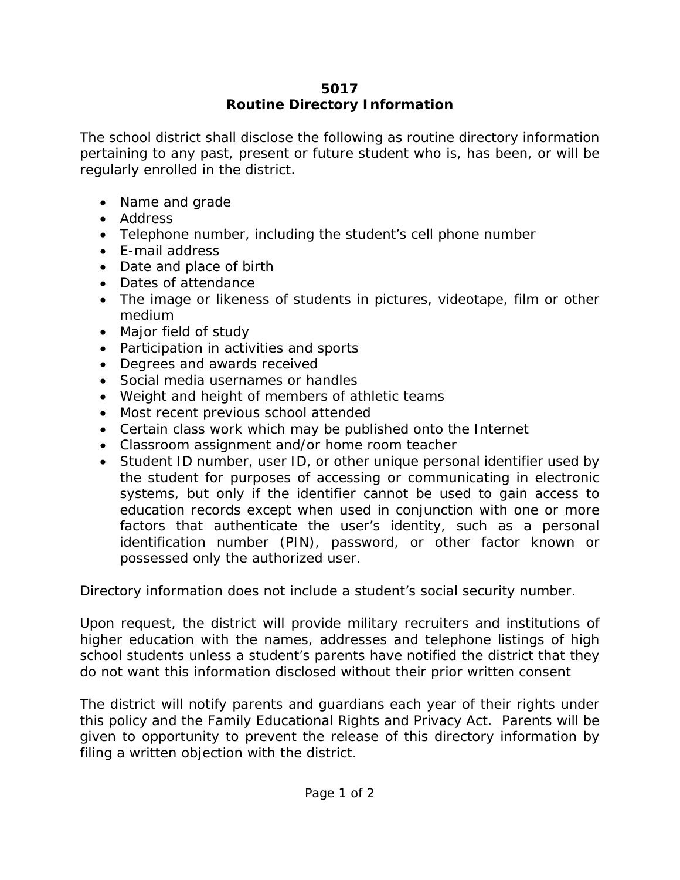## **5017 Routine Directory Information**

The school district shall disclose the following as routine directory information pertaining to any past, present or future student who is, has been, or will be regularly enrolled in the district.

- Name and grade
- Address
- Telephone number, including the student's cell phone number
- E-mail address
- Date and place of birth
- Dates of attendance
- The image or likeness of students in pictures, videotape, film or other medium
- Major field of study
- Participation in activities and sports
- Degrees and awards received
- Social media usernames or handles
- Weight and height of members of athletic teams
- Most recent previous school attended
- Certain class work which may be published onto the Internet
- Classroom assignment and/or home room teacher
- Student ID number, user ID, or other unique personal identifier used by the student for purposes of accessing or communicating in electronic systems, but only if the identifier cannot be used to gain access to education records except when used in conjunction with one or more factors that authenticate the user's identity, such as a personal identification number (PIN), password, or other factor known or possessed only the authorized user.

Directory information does not include a student's social security number.

Upon request, the district will provide military recruiters and institutions of higher education with the names, addresses and telephone listings of high school students unless a student's parents have notified the district that they do not want this information disclosed without their prior written consent

The district will notify parents and guardians each year of their rights under this policy and the Family Educational Rights and Privacy Act. Parents will be given to opportunity to prevent the release of this directory information by filing a written objection with the district.